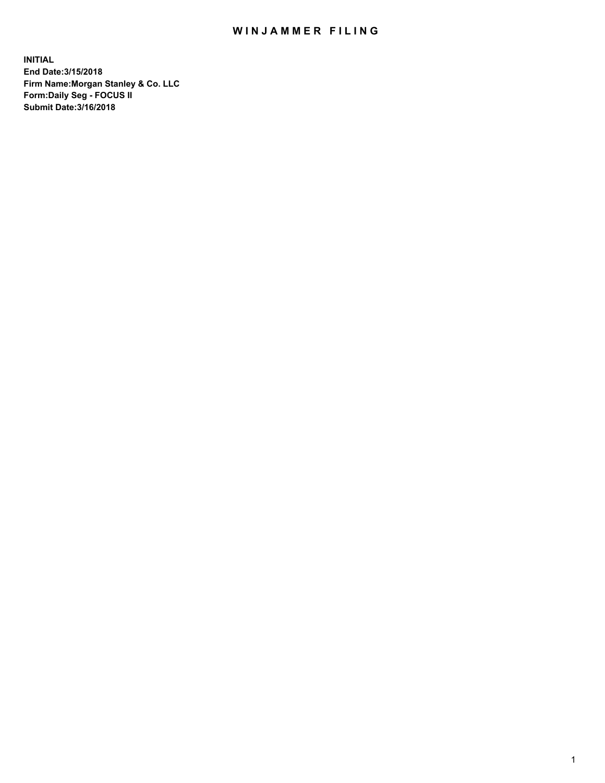## WIN JAMMER FILING

**INITIAL End Date:3/15/2018 Firm Name:Morgan Stanley & Co. LLC Form:Daily Seg - FOCUS II Submit Date:3/16/2018**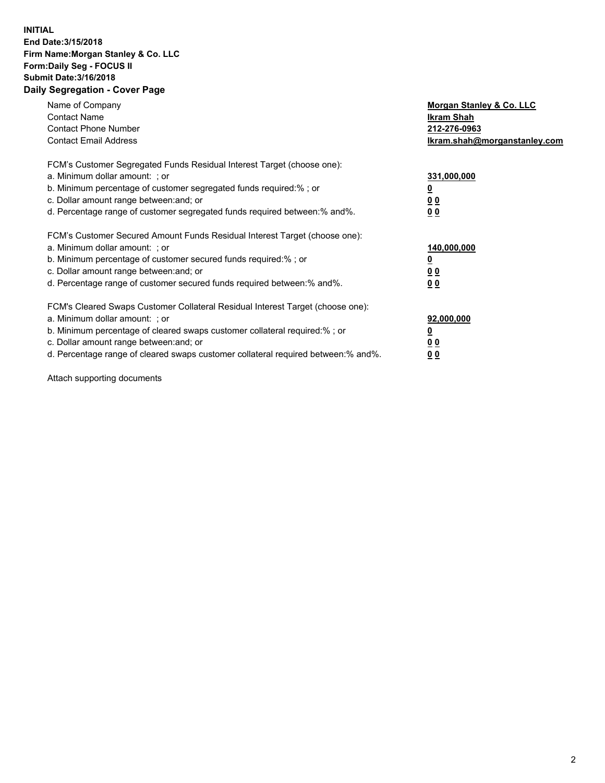## **INITIAL End Date:3/15/2018 Firm Name:Morgan Stanley & Co. LLC Form:Daily Seg - FOCUS II Submit Date:3/16/2018 Daily Segregation - Cover Page**

| Name of Company<br><b>Contact Name</b><br><b>Contact Phone Number</b><br><b>Contact Email Address</b>                                                                                                                                                                                                                          | Morgan Stanley & Co. LLC<br>Ikram Shah<br>212-276-0963<br>lkram.shah@morganstanley.com |
|--------------------------------------------------------------------------------------------------------------------------------------------------------------------------------------------------------------------------------------------------------------------------------------------------------------------------------|----------------------------------------------------------------------------------------|
| FCM's Customer Segregated Funds Residual Interest Target (choose one):<br>a. Minimum dollar amount: ; or<br>b. Minimum percentage of customer segregated funds required:%; or<br>c. Dollar amount range between: and; or<br>d. Percentage range of customer segregated funds required between: % and %.                        | 331,000,000<br>0 <sub>0</sub><br>00                                                    |
| FCM's Customer Secured Amount Funds Residual Interest Target (choose one):<br>a. Minimum dollar amount: ; or<br>b. Minimum percentage of customer secured funds required:%; or<br>c. Dollar amount range between: and; or<br>d. Percentage range of customer secured funds required between:% and%.                            | 140,000,000<br>0 <sub>0</sub><br>0 <sub>0</sub>                                        |
| FCM's Cleared Swaps Customer Collateral Residual Interest Target (choose one):<br>a. Minimum dollar amount: ; or<br>b. Minimum percentage of cleared swaps customer collateral required:% ; or<br>c. Dollar amount range between: and; or<br>d. Percentage range of cleared swaps customer collateral required between:% and%. | 92,000,000<br>0 <sub>0</sub><br>0 <sub>0</sub>                                         |

Attach supporting documents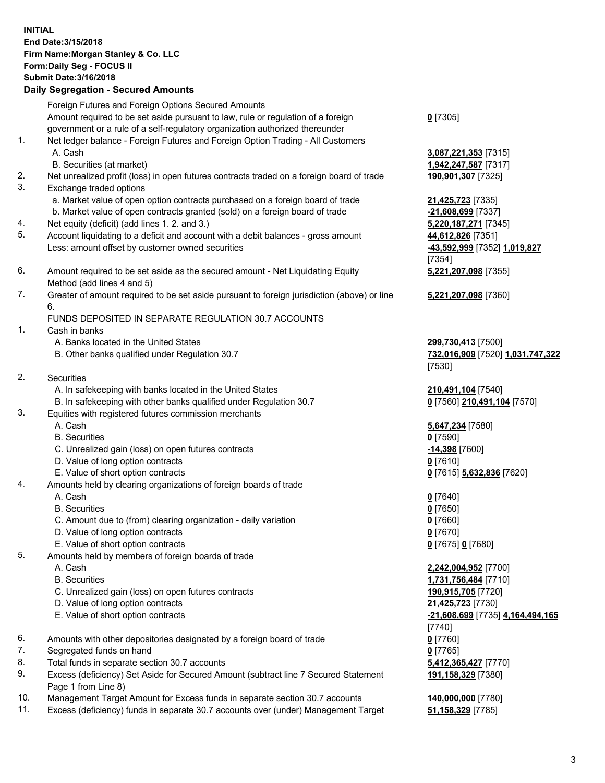## **INITIAL End Date:3/15/2018 Firm Name:Morgan Stanley & Co. LLC Form:Daily Seg - FOCUS II Submit Date:3/16/2018 Daily Segregation - Secured Amounts**

Foreign Futures and Foreign Options Secured Amounts Amount required to be set aside pursuant to law, rule or regulation of a foreign government or a rule of a self-regulatory organization authorized thereunder 1. Net ledger balance - Foreign Futures and Foreign Option Trading - All Customers A. Cash **3,087,221,353** [7315] B. Securities (at market) **1,942,247,587** [7317] 2. Net unrealized profit (loss) in open futures contracts traded on a foreign board of trade **190,901,307** [7325] 3. Exchange traded options a. Market value of open option contracts purchased on a foreign board of trade **21,425,723** [7335] b. Market value of open contracts granted (sold) on a foreign board of trade **-21,608,699** [7337]

- 4. Net equity (deficit) (add lines 1. 2. and 3.) **5,220,187,271** [7345]
- 5. Account liquidating to a deficit and account with a debit balances gross amount **44,612,826** [7351] Less: amount offset by customer owned securities **-43,592,999** [7352] **1,019,827**
- 6. Amount required to be set aside as the secured amount Net Liquidating Equity Method (add lines 4 and 5)
- 7. Greater of amount required to be set aside pursuant to foreign jurisdiction (above) or line 6.

## FUNDS DEPOSITED IN SEPARATE REGULATION 30.7 ACCOUNTS

- 1. Cash in banks
	- A. Banks located in the United States **299,730,413** [7500]
	- B. Other banks qualified under Regulation 30.7 **732,016,909** [7520] **1,031,747,322**
- 2. Securities
	- A. In safekeeping with banks located in the United States **210,491,104** [7540]
	- B. In safekeeping with other banks qualified under Regulation 30.7 **0** [7560] **210,491,104** [7570]
- 3. Equities with registered futures commission merchants
	-
	-
	- C. Unrealized gain (loss) on open futures contracts **-14,398** [7600]
	- D. Value of long option contracts **0** [7610]
- E. Value of short option contracts **0** [7615] **5,632,836** [7620]
- 4. Amounts held by clearing organizations of foreign boards of trade
	-
	-
	- C. Amount due to (from) clearing organization daily variation **0** [7660]
	- D. Value of long option contracts **0** [7670]
	- E. Value of short option contracts **0** [7675] **0** [7680]
- 5. Amounts held by members of foreign boards of trade
	-
	-
	- C. Unrealized gain (loss) on open futures contracts **190,915,705** [7720]
	- D. Value of long option contracts **21,425,723** [7730]
	- E. Value of short option contracts **-21,608,699** [7735] **4,164,494,165**
- 6. Amounts with other depositories designated by a foreign board of trade **0** [7760]
- 7. Segregated funds on hand **0** [7765]
- 8. Total funds in separate section 30.7 accounts **5,412,365,427** [7770]
- 9. Excess (deficiency) Set Aside for Secured Amount (subtract line 7 Secured Statement Page 1 from Line 8)
- 10. Management Target Amount for Excess funds in separate section 30.7 accounts **140,000,000** [7780]
- 11. Excess (deficiency) funds in separate 30.7 accounts over (under) Management Target **51,158,329** [7785]

**0** [7305]

[7354] **5,221,207,098** [7355]

**5,221,207,098** [7360]

[7530]

 A. Cash **5,647,234** [7580] B. Securities **0** [7590]

 A. Cash **0** [7640] B. Securities **0** [7650]

 A. Cash **2,242,004,952** [7700] B. Securities **1,731,756,484** [7710] [7740] **191,158,329** [7380]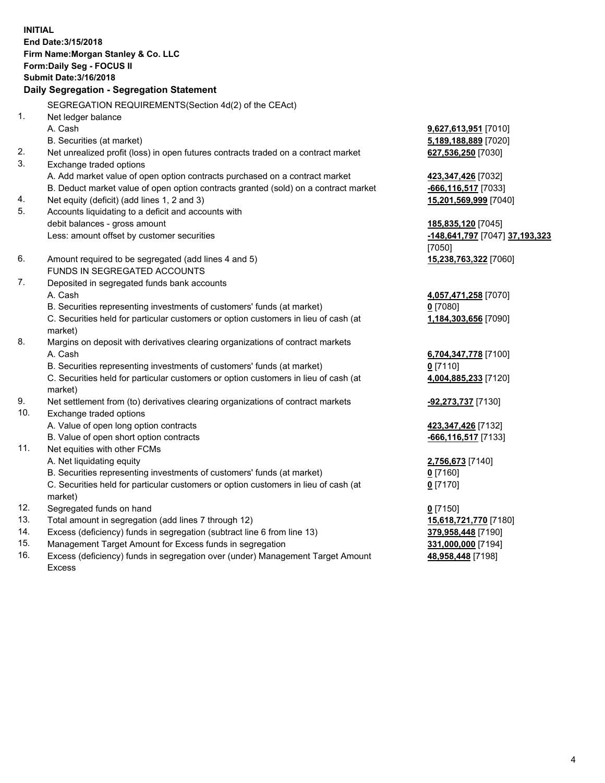**INITIAL End Date:3/15/2018 Firm Name:Morgan Stanley & Co. LLC Form:Daily Seg - FOCUS II Submit Date:3/16/2018 Daily Segregation - Segregation Statement** SEGREGATION REQUIREMENTS(Section 4d(2) of the CEAct) 1. Net ledger balance A. Cash **9,627,613,951** [7010] B. Securities (at market) **5,189,188,889** [7020] 2. Net unrealized profit (loss) in open futures contracts traded on a contract market **627,536,250** [7030] 3. Exchange traded options A. Add market value of open option contracts purchased on a contract market **423,347,426** [7032] B. Deduct market value of open option contracts granted (sold) on a contract market **-666,116,517** [7033] 4. Net equity (deficit) (add lines 1, 2 and 3) **15,201,569,999** [7040] 5. Accounts liquidating to a deficit and accounts with debit balances - gross amount **185,835,120** [7045] Less: amount offset by customer securities **-148,641,797** [7047] **37,193,323** [7050] 6. Amount required to be segregated (add lines 4 and 5) **15,238,763,322** [7060] FUNDS IN SEGREGATED ACCOUNTS 7. Deposited in segregated funds bank accounts A. Cash **4,057,471,258** [7070] B. Securities representing investments of customers' funds (at market) **0** [7080] C. Securities held for particular customers or option customers in lieu of cash (at market) **1,184,303,656** [7090] 8. Margins on deposit with derivatives clearing organizations of contract markets A. Cash **6,704,347,778** [7100] B. Securities representing investments of customers' funds (at market) **0** [7110] C. Securities held for particular customers or option customers in lieu of cash (at market) **4,004,885,233** [7120] 9. Net settlement from (to) derivatives clearing organizations of contract markets **-92,273,737** [7130] 10. Exchange traded options A. Value of open long option contracts **423,347,426** [7132] B. Value of open short option contracts **-666,116,517** [7133] 11. Net equities with other FCMs A. Net liquidating equity **2,756,673** [7140] B. Securities representing investments of customers' funds (at market) **0** [7160] C. Securities held for particular customers or option customers in lieu of cash (at market) **0** [7170] 12. Segregated funds on hand **0** [7150] 13. Total amount in segregation (add lines 7 through 12) **15,618,721,770** [7180] 14. Excess (deficiency) funds in segregation (subtract line 6 from line 13) **379,958,448** [7190]

- 15. Management Target Amount for Excess funds in segregation **331,000,000** [7194]
- 16. Excess (deficiency) funds in segregation over (under) Management Target Amount Excess

**48,958,448** [7198]